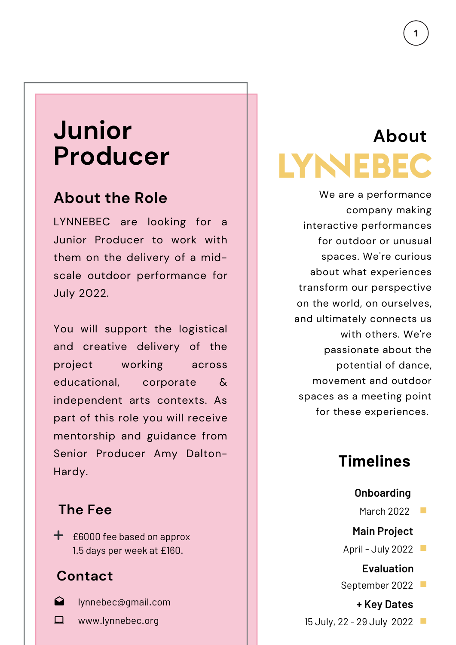# **Junior Producer**

## **About the Role**

LYNNEBEC are looking for a Junior Producer to work with them on the delivery of a midscale outdoor performance for July 2022.

You will support the logistical and creative delivery of the project working across educational, corporate & independent arts contexts. As part of this role you will receive mentorship and guidance from Senior Producer Amy Dalton-Hardy.

### **The Fee**

 $\div$  £6000 fee based on approx 1.5 days per week at £160.

### **Contact**

- $\Omega$
- lynnebec@gmail.com
- $\Box$ www.lynnebec.org

# **About LYNEBEC**

We are a performance company making interactive performances for outdoor or unusual spaces. We're curious about what experiences transform our perspective on the world, on ourselves, and ultimately connects us with others. We're passionate about the potential of dance, movement and outdoor spaces as a meeting point for these experiences.

## **Timelines**

#### **Onboarding**

March 2022  $\mathbb{R}^n$ 

### **Main Project**

April - July 2022

**Evaluation**

September 2022

**+ Key Dates** 15 July, 22 - 29 July 2022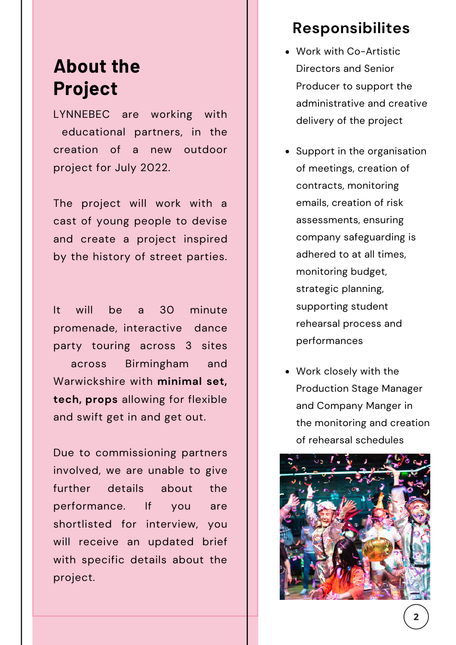# **About the Project**

LYNNEBEC are working with educational partners, in the creation of a new outdoor project for July 2022.

The project will work with a cast of young people to devise and create a project inspired by the history of street parties.

It will be a 30 minute promenade, interactive dance party touring across 3 sites across Birmingham and Warwickshire with **minimal set, tech, props** allowing for flexible and swift get in and get out.

Due to commissioning partners involved, we are unable to give further details about the performance. If you are shortlisted for interview, you will receive an updated brief with specific details about the project.

### **Responsibilites**

- Work with Co-Artistic Directors and Senior Producer to support the administrative and creative delivery of the project
- Support in the organisation of meetings, creation of contracts, monitoring emails, creation of risk assessments, ensuring company safeguarding is adhered to at all times, monitoring budget, strategic planning, supporting student rehearsal process and performances
- Work closely with the Production Stage Manager and Company Manger in the monitoring and creation of rehearsal schedules